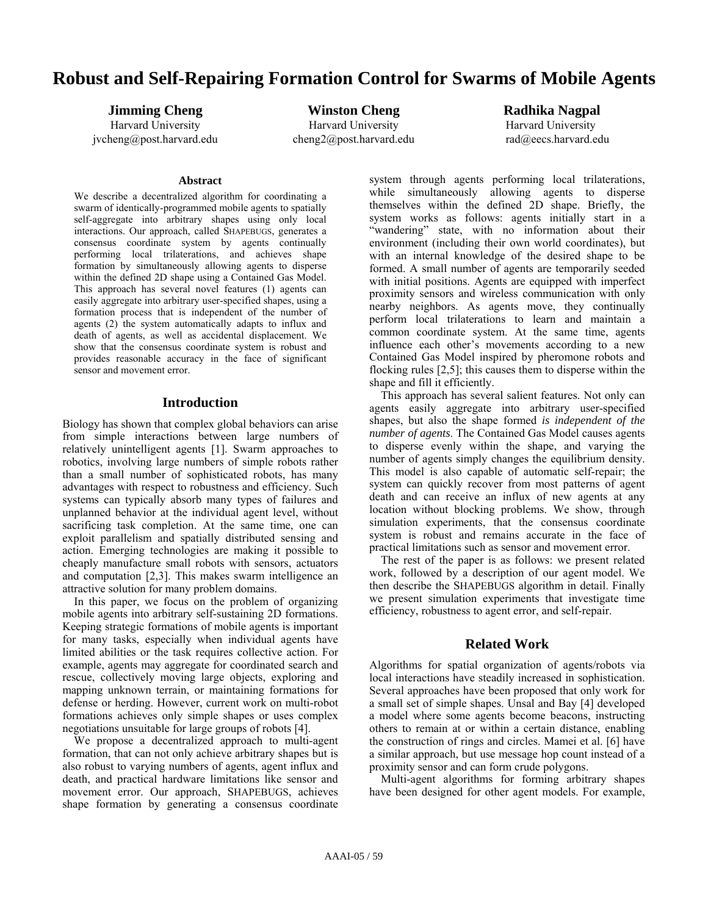# **Robust and Self-Repairing Formation Control for Swarms of Mobile Agents**

**Jimming Cheng** Harvard University jvcheng@post.harvard.edu

**Winston Cheng** Harvard University cheng2@post.harvard.edu

**Radhika Nagpal** Harvard University

rad@eecs.harvard.edu

#### **Abstract**

We describe a decentralized algorithm for coordinating a swarm of identically-programmed mobile agents to spatially self-aggregate into arbitrary shapes using only local interactions. Our approach, called SHAPEBUGS, generates a consensus coordinate system by agents continually performing local trilaterations, and achieves shape formation by simultaneously allowing agents to disperse within the defined 2D shape using a Contained Gas Model. This approach has several novel features (1) agents can easily aggregate into arbitrary user-specified shapes, using a formation process that is independent of the number of agents  $(2)$  the system automatically adapts to influx and death of agents, as well as accidental displacement. We show that the consensus coordinate system is robust and provides reasonable accuracy in the face of significant sensor and movement error.

## **Introduction**

Biology has shown that complex global behaviors can arise from simple interactions between large numbers of relatively unintelligent agents [1]. Swarm approaches to robotics, involving large numbers of simple robots rather than a small number of sophisticated robots, has many advantages with respect to robustness and efficiency. Such systems can typically absorb many types of failures and unplanned behavior at the individual agent level, without sacrificing task completion. At the same time, one can exploit parallelism and spatially distributed sensing and action. Emerging technologies are making it possible to cheaply manufacture small robots with sensors, actuators and computation [2,3]. This makes swarm intelligence an attractive solution for many problem domains.

 In this paper, we focus on the problem of organizing mobile agents into arbitrary self-sustaining 2D formations. Keeping strategic formations of mobile agents is important for many tasks, especially when individual agents have limited abilities or the task requires collective action. For example, agents may aggregate for coordinated search and rescue, collectively moving large objects, exploring and mapping unknown terrain, or maintaining formations for defense or herding. However, current work on multi-robot formations achieves only simple shapes or uses complex negotiations unsuitable for large groups of robots [4].

 We propose a decentralized approach to multi-agent formation, that can not only achieve arbitrary shapes but is also robust to varying numbers of agents, agent influx and death, and practical hardware limitations like sensor and movement error. Our approach, SHAPEBUGS, achieves shape formation by generating a consensus coordinate

system through agents performing local trilaterations, while simultaneously allowing agents to disperse themselves within the defined 2D shape. Briefly, the system works as follows: agents initially start in a "wandering" state, with no information about their environment (including their own world coordinates), but with an internal knowledge of the desired shape to be formed. A small number of agents are temporarily seeded with initial positions. Agents are equipped with imperfect proximity sensors and wireless communication with only nearby neighbors. As agents move, they continually perform local trilaterations to learn and maintain a common coordinate system. At the same time, agents influence each other's movements according to a new Contained Gas Model inspired by pheromone robots and flocking rules [2,5]; this causes them to disperse within the shape and fill it efficiently.

 This approach has several salient features. Not only can agents easily aggregate into arbitrary user-specified shapes, but also the shape formed *is independent of the number of agents*. The Contained Gas Model causes agents to disperse evenly within the shape, and varying the number of agents simply changes the equilibrium density. This model is also capable of automatic self-repair; the system can quickly recover from most patterns of agent death and can receive an influx of new agents at any location without blocking problems. We show, through simulation experiments, that the consensus coordinate system is robust and remains accurate in the face of practical limitations such as sensor and movement error.

 The rest of the paper is as follows: we present related work, followed by a description of our agent model. We then describe the SHAPEBUGS algorithm in detail. Finally we present simulation experiments that investigate time efficiency, robustness to agent error, and self-repair.

## **Related Work**

Algorithms for spatial organization of agents/robots via local interactions have steadily increased in sophistication. Several approaches have been proposed that only work for a small set of simple shapes. Unsal and Bay [4] developed a model where some agents become beacons, instructing others to remain at or within a certain distance, enabling the construction of rings and circles. Mamei et al. [6] have a similar approach, but use message hop count instead of a proximity sensor and can form crude polygons.

 Multi-agent algorithms for forming arbitrary shapes have been designed for other agent models. For example,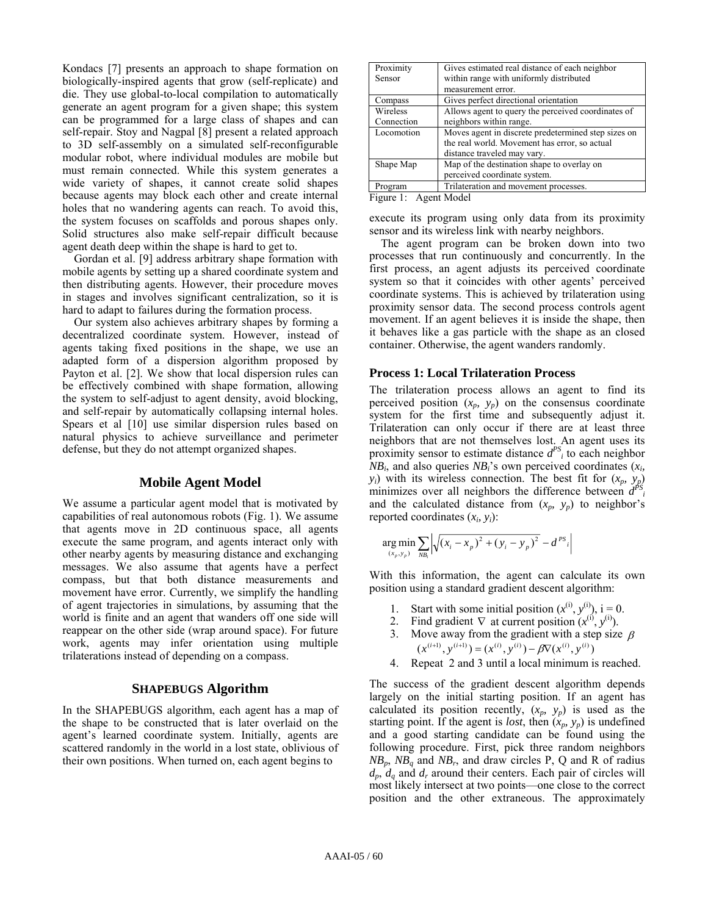Kondacs [7] presents an approach to shape formation on biologically-inspired agents that grow (self-replicate) and die. They use global-to-local compilation to automatically generate an agent program for a given shape; this system can be programmed for a large class of shapes and can self-repair. Stoy and Nagpal [8] present a related approach to 3D self-assembly on a simulated self-reconfigurable modular robot, where individual modules are mobile but must remain connected. While this system generates a wide variety of shapes, it cannot create solid shapes because agents may block each other and create internal holes that no wandering agents can reach. To avoid this, the system focuses on scaffolds and porous shapes only. Solid structures also make self-repair difficult because agent death deep within the shape is hard to get to.

 Gordan et al. [9] address arbitrary shape formation with mobile agents by setting up a shared coordinate system and then distributing agents. However, their procedure moves in stages and involves significant centralization, so it is hard to adapt to failures during the formation process.

 Our system also achieves arbitrary shapes by forming a decentralized coordinate system. However, instead of agents taking fixed positions in the shape, we use an adapted form of a dispersion algorithm proposed by Payton et al. [2]. We show that local dispersion rules can be effectively combined with shape formation, allowing the system to self-adjust to agent density, avoid blocking, and self-repair by automatically collapsing internal holes. Spears et al [10] use similar dispersion rules based on natural physics to achieve surveillance and perimeter defense, but they do not attempt organized shapes.

## **Mobile Agent Model**

We assume a particular agent model that is motivated by capabilities of real autonomous robots (Fig. 1). We assume that agents move in 2D continuous space, all agents execute the same program, and agents interact only with other nearby agents by measuring distance and exchanging messages. We also assume that agents have a perfect compass, but that both distance measurements and movement have error. Currently, we simplify the handling of agent trajectories in simulations, by assuming that the world is finite and an agent that wanders off one side will reappear on the other side (wrap around space). For future work, agents may infer orientation using multiple trilaterations instead of depending on a compass.

#### **SHAPEBUGS Algorithm**

In the SHAPEBUGS algorithm, each agent has a map of the shape to be constructed that is later overlaid on the agent's learned coordinate system. Initially, agents are scattered randomly in the world in a lost state, oblivious of their own positions. When turned on, each agent begins to

| Proximity<br>Sensor                       | Gives estimated real distance of each neighbor<br>within range with uniformly distributed<br>measurement error.                     |
|-------------------------------------------|-------------------------------------------------------------------------------------------------------------------------------------|
| Compass                                   | Gives perfect directional orientation                                                                                               |
| Wireless<br>Connection                    | Allows agent to query the perceived coordinates of<br>neighbors within range.                                                       |
| Locomotion                                | Moves agent in discrete predetermined step sizes on<br>the real world. Movement has error, so actual<br>distance traveled may vary. |
| Shape Map                                 | Map of the destination shape to overlay on<br>perceived coordinate system.                                                          |
| Program<br>m.<br>$\overline{\phantom{a}}$ | Trilateration and movement processes.<br>.                                                                                          |

Figure 1: Agent Model

execute its program using only data from its proximity sensor and its wireless link with nearby neighbors.

 The agent program can be broken down into two processes that run continuously and concurrently. In the first process, an agent adjusts its perceived coordinate system so that it coincides with other agents' perceived coordinate systems. This is achieved by trilateration using proximity sensor data. The second process controls agent movement. If an agent believes it is inside the shape, then it behaves like a gas particle with the shape as an closed container. Otherwise, the agent wanders randomly.

#### **Process 1: Local Trilateration Process**

The trilateration process allows an agent to find its perceived position  $(x_p, y_p)$  on the consensus coordinate system for the first time and subsequently adjust it. Trilateration can only occur if there are at least three neighbors that are not themselves lost. An agent uses its proximity sensor to estimate distance  $d^{PS}$ <sub>i</sub> to each neighbor  $NB_i$ , and also queries  $NB_i$ 's own perceived coordinates  $(x_i)$  $y_i$ ) with its wireless connection. The best fit for  $(x_p, y_p)$ minimizes over all neighbors the difference between  $d^{PS}$ and the calculated distance from  $(x_p, y_p)$  to neighbor's reported coordinates  $(x_i, y_i)$ :

$$
\underset{(x_p, y_p)}{\arg \min} \sum_{NB_i} \left| \sqrt{(x_i - x_p)^2 + (y_i - y_p)^2} - d^{PS_i} \right|
$$

With this information, the agent can calculate its own position using a standard gradient descent algorithm:

- 1. Start with some initial position  $(x^{(i)}, y^{(i)})$ , i = 0.
- 2. Find gradient  $\nabla$  at current position  $(x^{(i)}, y^{(i)})$ .
- 3. Move away from the gradient with a step size  $\beta$  $(x^{(i+1)}, y^{(i+1)}) = (x^{(i)}, y^{(i)}) - \beta \nabla (x^{(i)}, y^{(i)})$
- 4. Repeat 2 and 3 until a local minimum is reached.

The success of the gradient descent algorithm depends largely on the initial starting position. If an agent has calculated its position recently,  $(x_p, y_p)$  is used as the starting point. If the agent is *lost*, then  $(x_p, y_p)$  is undefined and a good starting candidate can be found using the following procedure. First, pick three random neighbors  $NB_p$ ,  $NB_q$  and  $NB_r$ , and draw circles P, Q and R of radius  $d_p$ ,  $d_q$  and  $d_r$  around their centers. Each pair of circles will most likely intersect at two points—one close to the correct position and the other extraneous. The approximately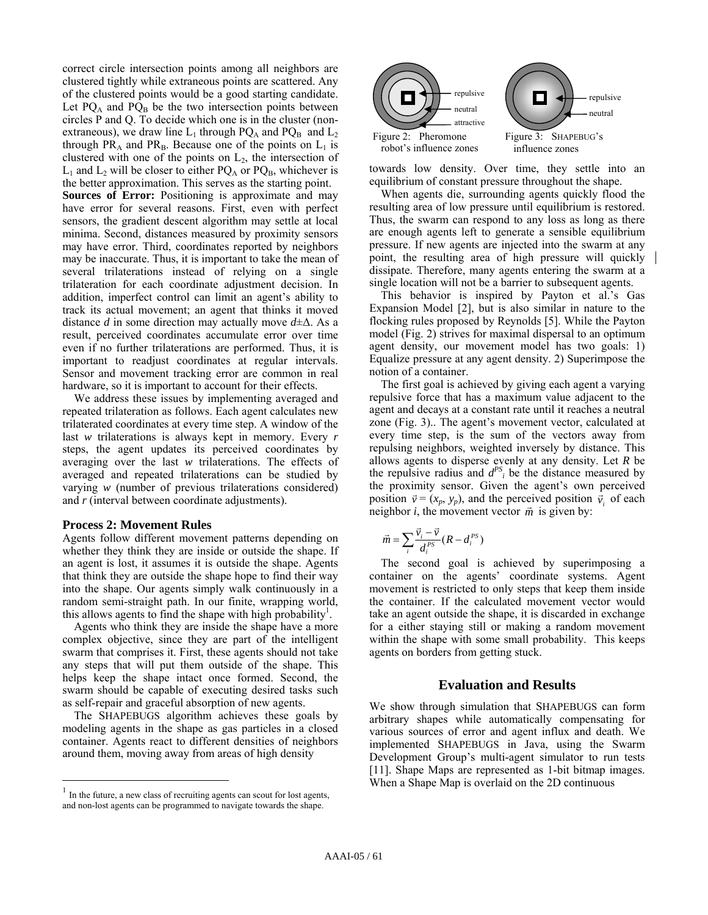correct circle intersection points among all neighbors are clustered tightly while extraneous points are scattered. Any of the clustered points would be a good starting candidate. Let  $PQ_A$  and  $PQ_B$  be the two intersection points between circles P and Q. To decide which one is in the cluster (nonextraneous), we draw line  $L_1$  through PQ<sub>A</sub> and PQ<sub>B</sub> and  $L_2$ through PR<sub>A</sub> and PR<sub>B</sub>. Because one of the points on  $L_1$  is clustered with one of the points on  $L_2$ , the intersection of  $L_1$  and  $L_2$  will be closer to either PQ<sub>A</sub> or PQ<sub>B</sub>, whichever is the better approximation. This serves as the starting point.

**Sources of Error:** Positioning is approximate and may have error for several reasons. First, even with perfect sensors, the gradient descent algorithm may settle at local minima. Second, distances measured by proximity sensors may have error. Third, coordinates reported by neighbors may be inaccurate. Thus, it is important to take the mean of several trilaterations instead of relying on a single trilateration for each coordinate adjustment decision. In addition, imperfect control can limit an agent's ability to track its actual movement; an agent that thinks it moved distance *d* in some direction may actually move *d*±∆. As a result, perceived coordinates accumulate error over time even if no further trilaterations are performed. Thus, it is important to readjust coordinates at regular intervals. Sensor and movement tracking error are common in real hardware, so it is important to account for their effects.

 We address these issues by implementing averaged and repeated trilateration as follows. Each agent calculates new trilaterated coordinates at every time step. A window of the last *w* trilaterations is always kept in memory. Every *r* steps, the agent updates its perceived coordinates by averaging over the last *w* trilaterations. The effects of averaged and repeated trilaterations can be studied by varying *w* (number of previous trilaterations considered) and *r* (interval between coordinate adjustments).

#### **Process 2: Movement Rules**

 $\overline{a}$ 

Agents follow different movement patterns depending on whether they think they are inside or outside the shape. If an agent is lost, it assumes it is outside the shape. Agents that think they are outside the shape hope to find their way into the shape. Our agents simply walk continuously in a random semi-straight path. In our finite, wrapping world, this allows agents to find the shape with high probability<sup>1</sup>.

 Agents who think they are inside the shape have a more complex objective, since they are part of the intelligent swarm that comprises it. First, these agents should not take any steps that will put them outside of the shape. This helps keep the shape intact once formed. Second, the swarm should be capable of executing desired tasks such as self-repair and graceful absorption of new agents.

 The SHAPEBUGS algorithm achieves these goals by modeling agents in the shape as gas particles in a closed container. Agents react to different densities of neighbors around them, moving away from areas of high density



towards low density. Over time, they settle into an equilibrium of constant pressure throughout the shape.

 When agents die, surrounding agents quickly flood the resulting area of low pressure until equilibrium is restored. Thus, the swarm can respond to any loss as long as there are enough agents left to generate a sensible equilibrium pressure. If new agents are injected into the swarm at any point, the resulting area of high pressure will quickly dissipate. Therefore, many agents entering the swarm at a single location will not be a barrier to subsequent agents.

 This behavior is inspired by Payton et al.'s Gas Expansion Model [2], but is also similar in nature to the flocking rules proposed by Reynolds [5]. While the Payton model (Fig. 2) strives for maximal dispersal to an optimum agent density, our movement model has two goals: 1) Equalize pressure at any agent density. 2) Superimpose the notion of a container.

 The first goal is achieved by giving each agent a varying repulsive force that has a maximum value adjacent to the agent and decays at a constant rate until it reaches a neutral zone (Fig. 3).. The agent's movement vector, calculated at every time step, is the sum of the vectors away from repulsing neighbors, weighted inversely by distance. This allows agents to disperse evenly at any density. Let *R* be the repulsive radius and  $d^{PS}$  be the distance measured by the proximity sensor. Given the agent's own perceived position  $\vec{v} = (x_p, y_p)$ , and the perceived position  $\vec{v}_i$  of each position  $\vec{v}$  ( $\langle x_p, y_p \rangle$ , and the perceived position neighbor *i*, the movement vector  $\vec{m}$  is given by:

$$
\vec{m} = \sum_{i} \frac{\vec{v}_i - \vec{v}}{d_i^{PS}} (R - d_i^{PS})
$$

 The second goal is achieved by superimposing a container on the agents' coordinate systems. Agent movement is restricted to only steps that keep them inside the container. If the calculated movement vector would take an agent outside the shape, it is discarded in exchange for a either staying still or making a random movement within the shape with some small probability. This keeps agents on borders from getting stuck.

## **Evaluation and Results**

We show through simulation that SHAPEBUGS can form arbitrary shapes while automatically compensating for various sources of error and agent influx and death. We implemented SHAPEBUGS in Java, using the Swarm Development Group's multi-agent simulator to run tests [11]. Shape Maps are represented as 1-bit bitmap images. When a Shape Map is overlaid on the 2D continuous

 $1$  In the future, a new class of recruiting agents can scout for lost agents, and non-lost agents can be programmed to navigate towards the shape.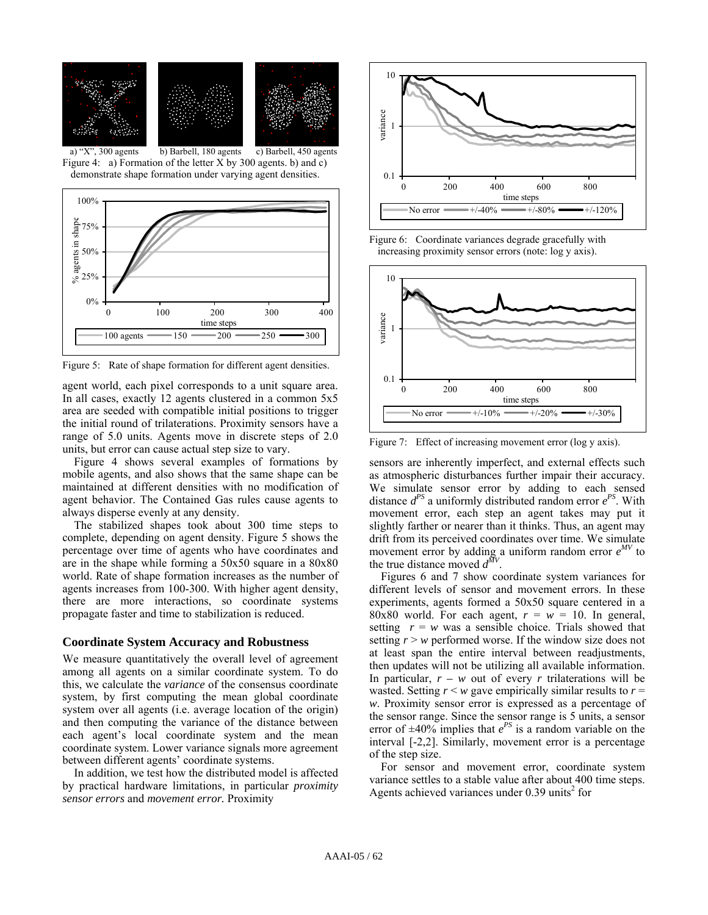

Figure 4: a) Formation of the letter X by 300 agents. b) and c) demonstrate shape formation under varying agent densities.



Figure 5: Rate of shape formation for different agent densities.

agent world, each pixel corresponds to a unit square area. In all cases, exactly 12 agents clustered in a common 5x5 area are seeded with compatible initial positions to trigger the initial round of trilaterations. Proximity sensors have a range of 5.0 units. Agents move in discrete steps of 2.0 units, but error can cause actual step size to vary.

 Figure 4 shows several examples of formations by mobile agents, and also shows that the same shape can be maintained at different densities with no modification of agent behavior. The Contained Gas rules cause agents to always disperse evenly at any density.

 The stabilized shapes took about 300 time steps to complete, depending on agent density. Figure 5 shows the percentage over time of agents who have coordinates and are in the shape while forming a 50x50 square in a 80x80 world. Rate of shape formation increases as the number of agents increases from 100-300. With higher agent density, there are more interactions, so coordinate systems propagate faster and time to stabilization is reduced.

### **Coordinate System Accuracy and Robustness**

We measure quantitatively the overall level of agreement among all agents on a similar coordinate system. To do this, we calculate the *variance* of the consensus coordinate system, by first computing the mean global coordinate system over all agents (i.e. average location of the origin) and then computing the variance of the distance between each agent's local coordinate system and the mean coordinate system. Lower variance signals more agreement between different agents' coordinate systems.

 In addition, we test how the distributed model is affected by practical hardware limitations, in particular *proximity sensor errors* and *movement error.* Proximity



Figure 6: Coordinate variances degrade gracefully with increasing proximity sensor errors (note: log y axis).



Figure 7: Effect of increasing movement error (log y axis).

sensors are inherently imperfect, and external effects such as atmospheric disturbances further impair their accuracy. We simulate sensor error by adding to each sensed distance  $d^{PS}$  a uniformly distributed random error  $e^{PS}$ . With movement error, each step an agent takes may put it slightly farther or nearer than it thinks. Thus, an agent may drift from its perceived coordinates over time. We simulate movement error by adding a uniform random error  $e^{MV}$  to the true distance moved  $d^{M}$ 

 Figures 6 and 7 show coordinate system variances for different levels of sensor and movement errors. In these experiments, agents formed a 50x50 square centered in a 80x80 world. For each agent,  $r = w = 10$ . In general, setting  $r = w$  was a sensible choice. Trials showed that setting  $r > w$  performed worse. If the window size does not at least span the entire interval between readjustments, then updates will not be utilizing all available information. In particular,  $r - w$  out of every *r* trilaterations will be wasted. Setting  $r \leq w$  gave empirically similar results to  $r =$ *w*. Proximity sensor error is expressed as a percentage of the sensor range. Since the sensor range is 5 units, a sensor error of  $\pm 40\%$  implies that  $e^{PS}$  is a random variable on the interval [-2,2]. Similarly, movement error is a percentage of the step size.

 For sensor and movement error, coordinate system variance settles to a stable value after about 400 time steps. Agents achieved variances under  $0.39$  units<sup>2</sup> for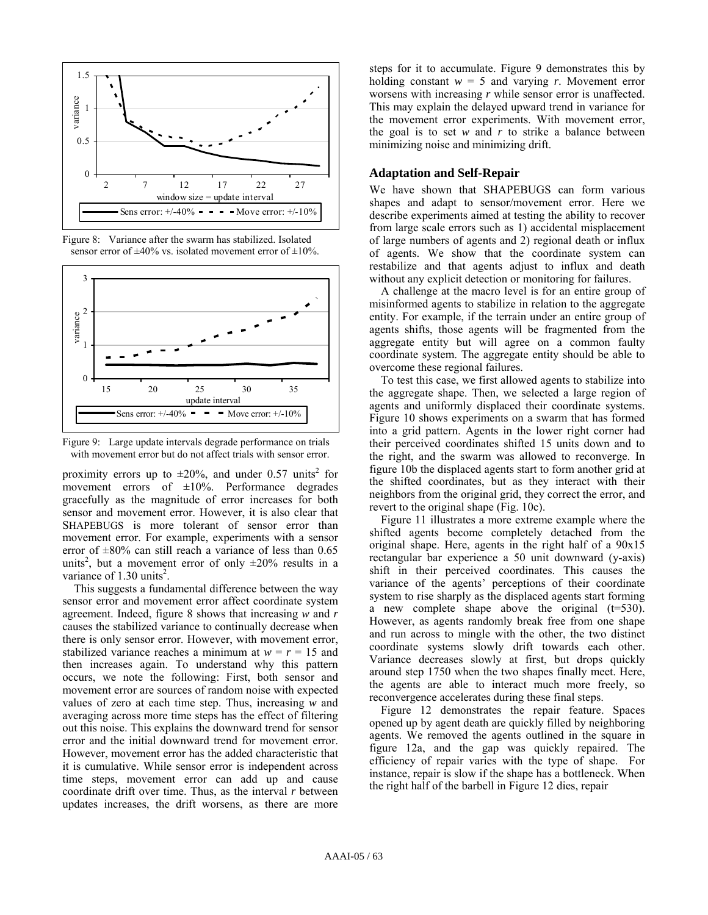

Figure 8: Variance after the swarm has stabilized. Isolated sensor error of  $\pm 40\%$  vs. isolated movement error of  $\pm 10\%$ .



Figure 9: Large update intervals degrade performance on trials with movement error but do not affect trials with sensor error.

proximity errors up to  $\pm 20\%$ , and under 0.57 units<sup>2</sup> for movement errors of  $\pm 10\%$ . Performance degrades gracefully as the magnitude of error increases for both sensor and movement error. However, it is also clear that SHAPEBUGS is more tolerant of sensor error than movement error. For example, experiments with a sensor error of  $\pm 80\%$  can still reach a variance of less than 0.65 units<sup>2</sup>, but a movement error of only  $\pm 20\%$  results in a variance of  $1.30 \text{ units}^2$ .

 This suggests a fundamental difference between the way sensor error and movement error affect coordinate system agreement. Indeed, figure 8 shows that increasing *w* and *r* causes the stabilized variance to continually decrease when there is only sensor error. However, with movement error, stabilized variance reaches a minimum at  $w = r = 15$  and then increases again. To understand why this pattern occurs, we note the following: First, both sensor and movement error are sources of random noise with expected values of zero at each time step. Thus, increasing *w* and averaging across more time steps has the effect of filtering out this noise. This explains the downward trend for sensor error and the initial downward trend for movement error. However, movement error has the added characteristic that it is cumulative. While sensor error is independent across time steps, movement error can add up and cause coordinate drift over time. Thus, as the interval *r* between updates increases, the drift worsens, as there are more steps for it to accumulate. Figure 9 demonstrates this by holding constant  $w = 5$  and varying *r*. Movement error worsens with increasing *r* while sensor error is unaffected. This may explain the delayed upward trend in variance for the movement error experiments. With movement error, the goal is to set *w* and *r* to strike a balance between minimizing noise and minimizing drift.

## **Adaptation and Self-Repair**

We have shown that SHAPEBUGS can form various shapes and adapt to sensor/movement error. Here we describe experiments aimed at testing the ability to recover from large scale errors such as 1) accidental misplacement of large numbers of agents and 2) regional death or influx of agents. We show that the coordinate system can restabilize and that agents adjust to influx and death without any explicit detection or monitoring for failures.

 A challenge at the macro level is for an entire group of misinformed agents to stabilize in relation to the aggregate entity. For example, if the terrain under an entire group of agents shifts, those agents will be fragmented from the aggregate entity but will agree on a common faulty coordinate system. The aggregate entity should be able to overcome these regional failures.

 To test this case, we first allowed agents to stabilize into the aggregate shape. Then, we selected a large region of agents and uniformly displaced their coordinate systems. Figure 10 shows experiments on a swarm that has formed into a grid pattern. Agents in the lower right corner had their perceived coordinates shifted 15 units down and to the right, and the swarm was allowed to reconverge. In figure 10b the displaced agents start to form another grid at the shifted coordinates, but as they interact with their neighbors from the original grid, they correct the error, and revert to the original shape (Fig. 10c).

 Figure 11 illustrates a more extreme example where the shifted agents become completely detached from the original shape. Here, agents in the right half of a 90x15 rectangular bar experience a 50 unit downward (y-axis) shift in their perceived coordinates. This causes the variance of the agents' perceptions of their coordinate system to rise sharply as the displaced agents start forming a new complete shape above the original  $(t=530)$ . However, as agents randomly break free from one shape and run across to mingle with the other, the two distinct coordinate systems slowly drift towards each other. Variance decreases slowly at first, but drops quickly around step 1750 when the two shapes finally meet. Here, the agents are able to interact much more freely, so reconvergence accelerates during these final steps.

 Figure 12 demonstrates the repair feature. Spaces opened up by agent death are quickly filled by neighboring agents. We removed the agents outlined in the square in figure 12a, and the gap was quickly repaired. The efficiency of repair varies with the type of shape. For instance, repair is slow if the shape has a bottleneck. When the right half of the barbell in Figure 12 dies, repair